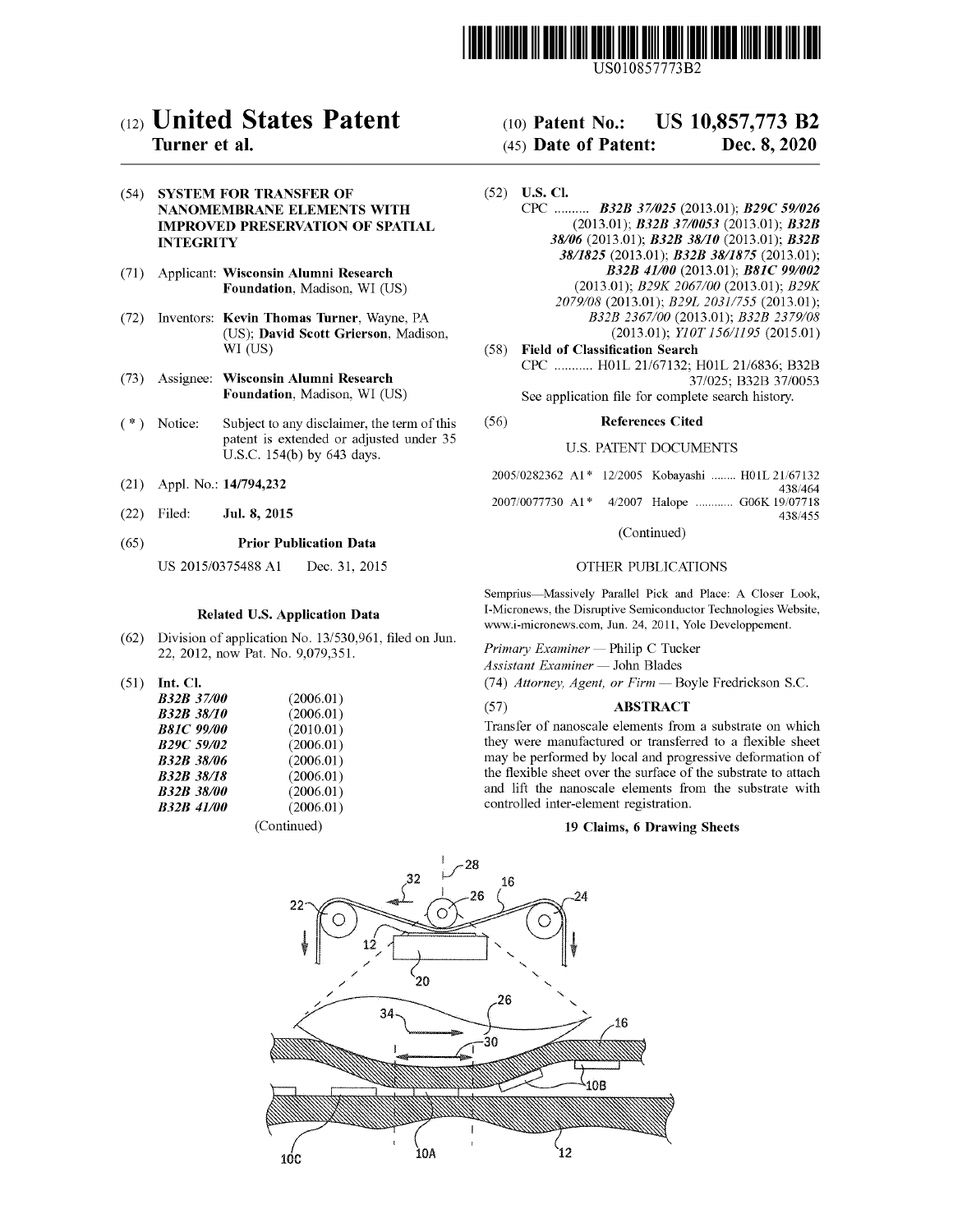

USO 10857773B2

# c12) **United States Patent**

# **Turner et al.**

(54) **SYSTEM FOR TRANSFER OF NANOMEMBRANE ELEMENTS WITH IMPROVED PRESERVATION OF SPATIAL INTEGRITY** 

- (71) Applicant: **Wisconsin Alumni Research Foundation,** Madison, WI (US)
- (72) Inventors: **Kevin Thomas Turner,** Wayne, PA (US); **David Scott Grierson,** Madison, WI (US)
- (73) Assignee: **Wisconsin Alumni Research Foundation,** Madison, WI (US)
- $(*)$  Notice: Subject to any disclaimer, the term of this patent is extended or adjusted under 35 U.S.C. 154(b) by 643 days.
- (21) Appl. No.: **14/794,232**
- (22) Filed: **Jul. 8, 2015**

#### (65) **Prior Publication Data**

US 2015/0375488 Al Dec. 31, 2015

#### **Related U.S. Application Data**

- (62) Division of application No. 13/530,961, filed on Jun. 22, 2012, now Pat. No. 9,079,351.
- (51) **Int. Cl.**

| <b>B32B 37/00</b> | (2006.01)   |
|-------------------|-------------|
| <b>B32B 38/10</b> | (2006.01)   |
| <b>B81C 99/00</b> | (2010.01)   |
| <b>B29C 59/02</b> | (2006.01)   |
| <b>B32B 38/06</b> | (2006.01)   |
| <b>B32B 38/18</b> | (2006.01)   |
| <b>B32B 38/00</b> | (2006.01)   |
| <b>B32B 41/00</b> | (2006.01)   |
|                   | (Continued) |

(IO) **Patent No.:** US 10,857,773 B2

## (45) **Date of Patent:** Dec. 8, 2020

- (52) **U.S. Cl.**  CPC .......... *B32B 371025* (2013.01); *B29C 591026*  (2013.01); *B32B 3710053* (2013.01); *B32B 38/06* (2013.01); *B32B 38/10* (2013.01); *B32B 38/1825* (2013.01); *B32B 38/1875* (2013.01); *B32B 41100* (2013.01); *B81C 99/002*  (2013.01); *B29K 2067/00* (2013.01); *B29K 2079/08* (2013.01); *B29L 2031/755* (2013.01); *B32B 2367/00* (2013.01); *B32B 2379/08*  (2013.01); *Yl0T 15611195* (2015.01)
- (58) **Field of Classification Search**  CPC ........... H0lL 21/67132; H0lL 21/6836; B32B 37/025; B32B 37/0053 See application file for complete search history.

#### (56) **References Cited**

#### U.S. PATENT DOCUMENTS

|  | 2005/0282362 A1* 12/2005 Kobayashi  H01L 21/67132 |         |
|--|---------------------------------------------------|---------|
|  |                                                   | 438/464 |
|  | 2007/0077730 A1* 4/2007 Halope  G06K 19/07718     |         |
|  |                                                   | 438/455 |

#### (Continued)

#### OTHER PUBLICATIONS

Semprius-Massively Parallel Pick and Place: A Closer Look, I-Micronews, the Disruptive Semiconductor Technologies Website, www.i-micronews.com, Jun. 24, 2011, Yole Developpement.

*Primary Examiner* - Philip C Tucker  $\Lambda$ ssistant Examiner - John Blades

(74) *Attorney, Agent, or Firm* - Boyle Fredrickson S.C.

#### (57) **ABSTRACT**

Transfer of nanoscale elements from a substrate on which they were manufactured or transferred to a flexible sheet may be performed by local and progressive deformation of the flexible sheet over the surface of the substrate to attach and lift the nanoscale elements from the substrate with controlled inter-element registration.

#### **19 Claims, 6 Drawing Sheets**

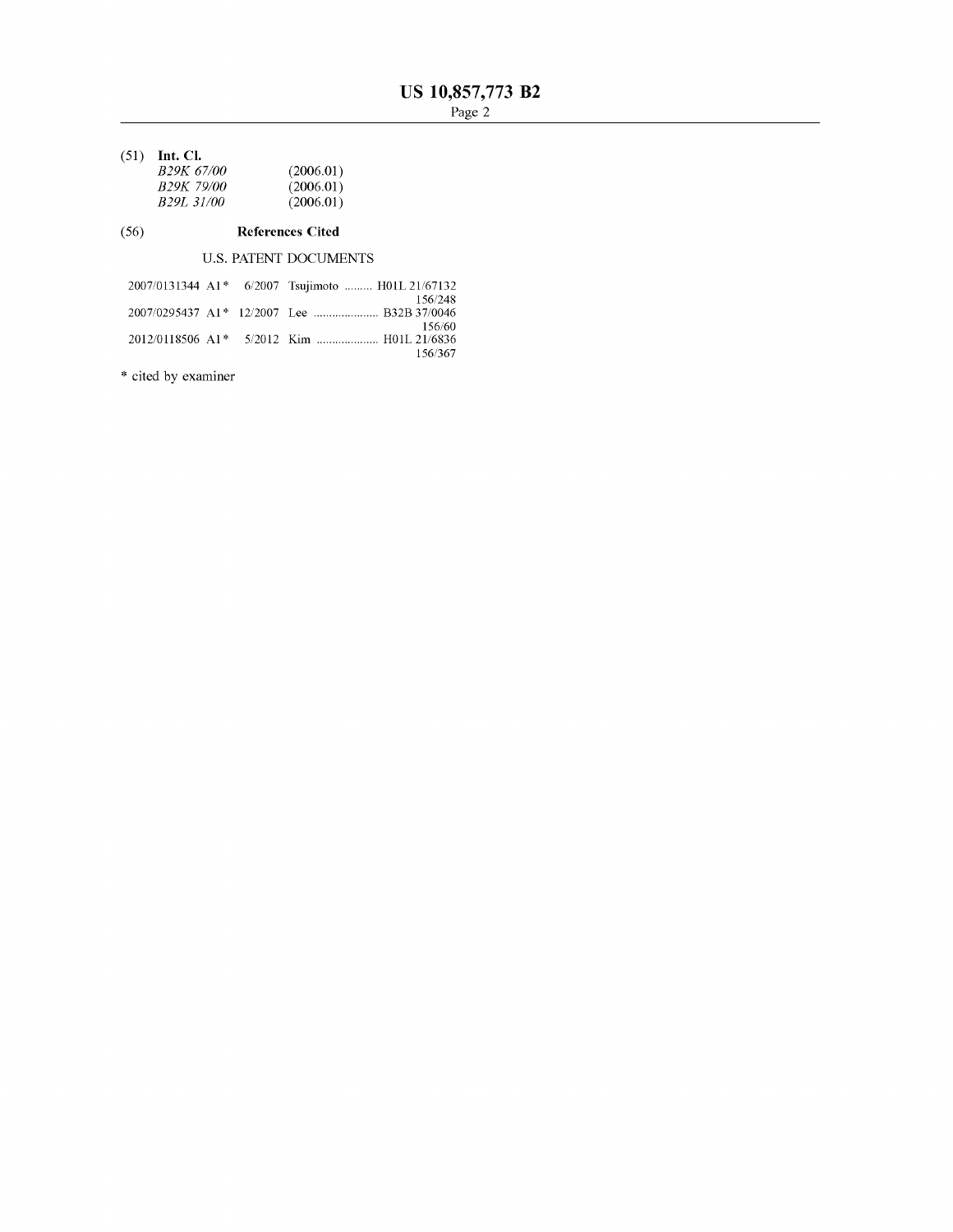(51) **Int. Cl.** 

| (2006.01) |
|-----------|
| (2006.01) |
| (2006.01) |
|           |

#### (56) **References Cited**

U.S. PATENT DOCUMENTS

|  | 2007/0131344 A1* 6/2007 Tsujimoto  H01L 21/67132 |
|--|--------------------------------------------------|
|  | 156/248                                          |
|  |                                                  |
|  | 156/60                                           |
|  |                                                  |
|  | 156/367                                          |

\* cited by examiner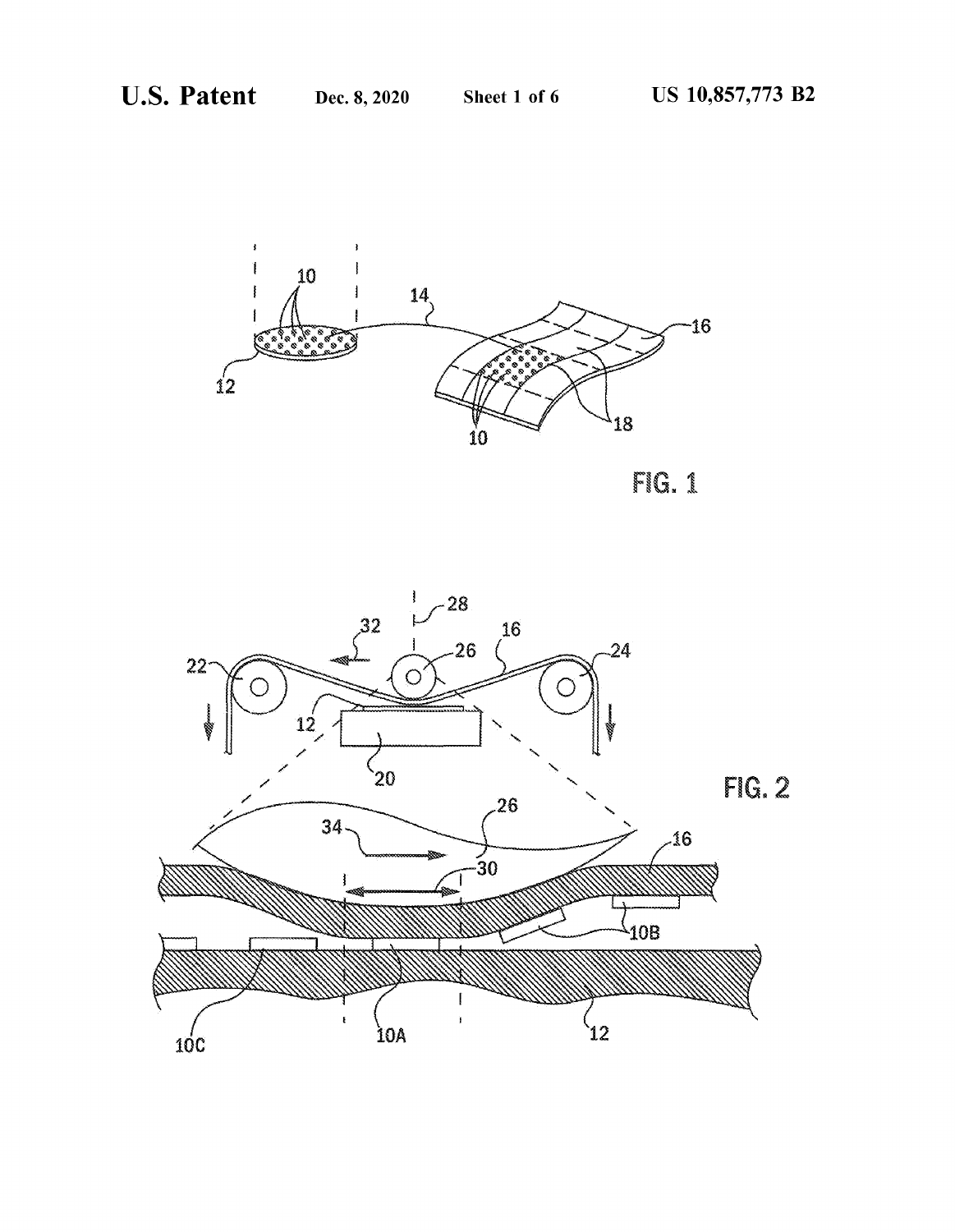

FIG. 1

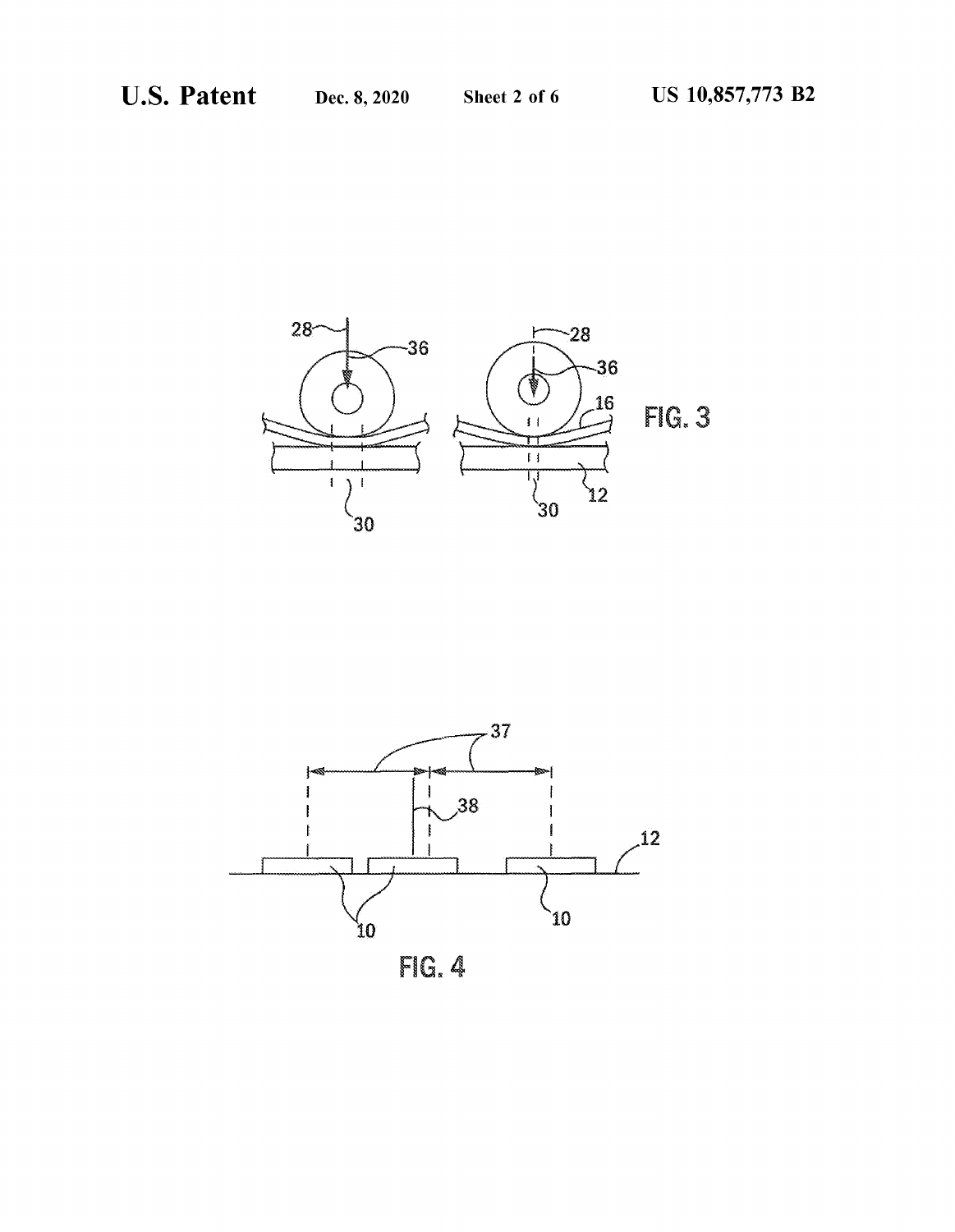



FIG. 4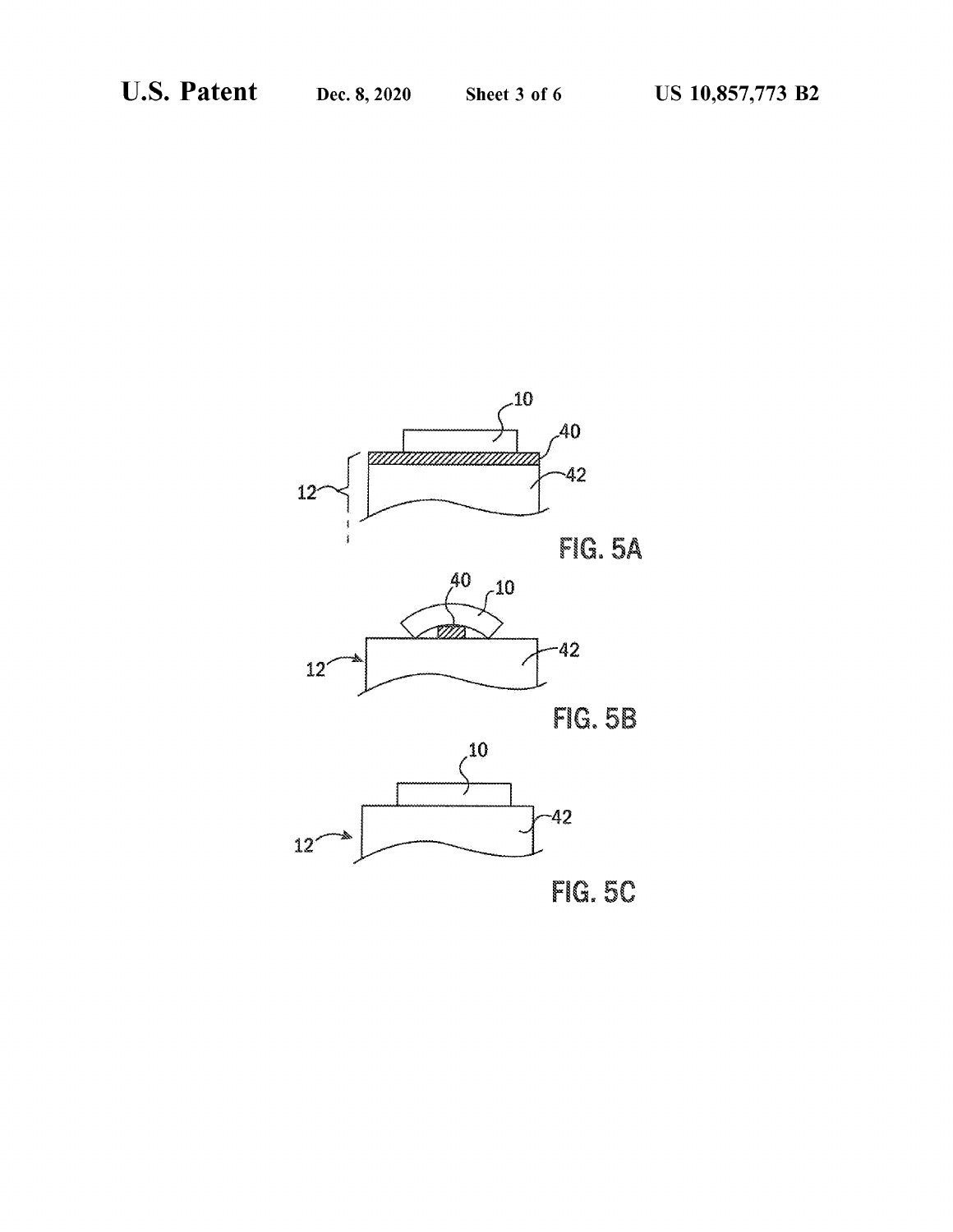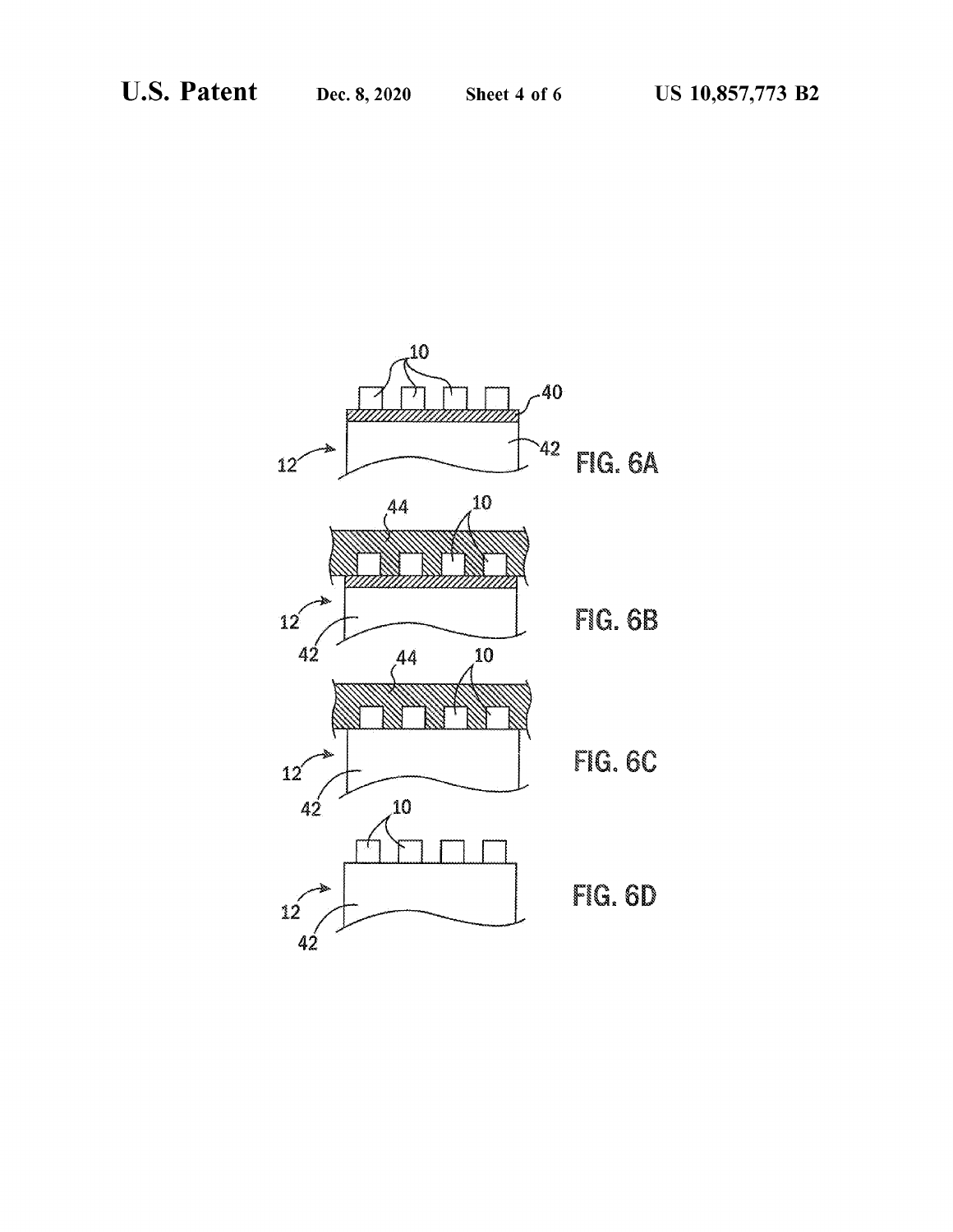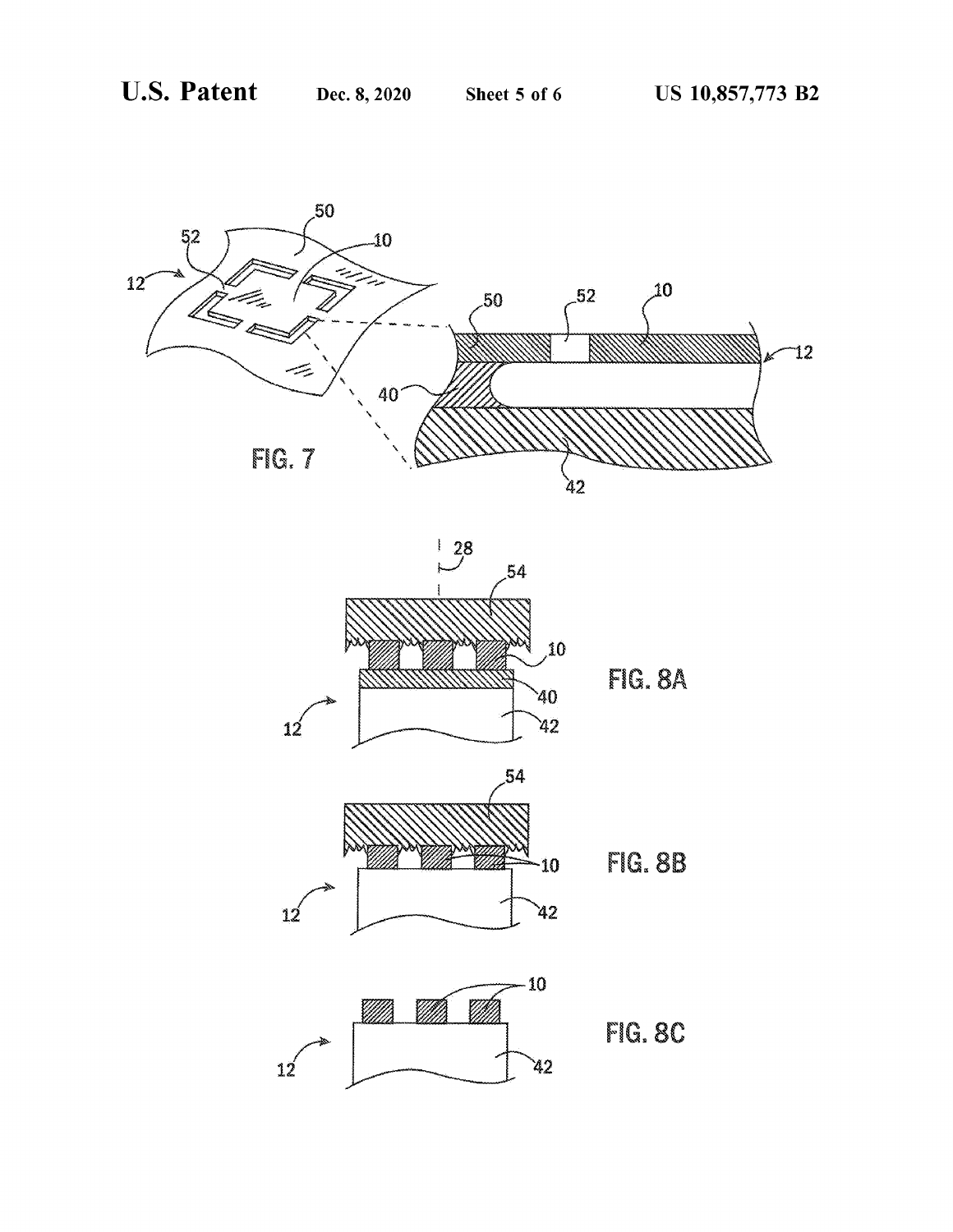

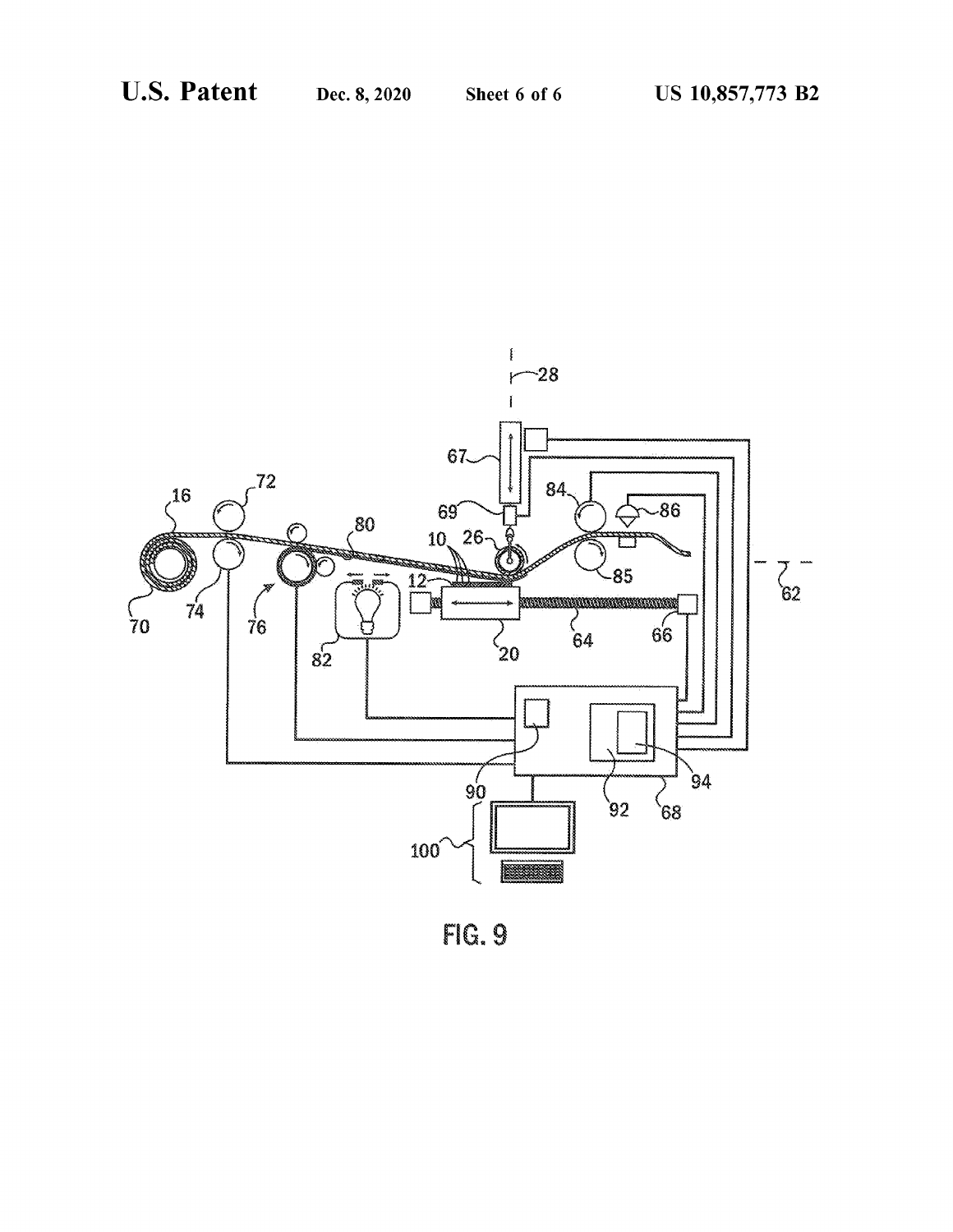

FIG. 9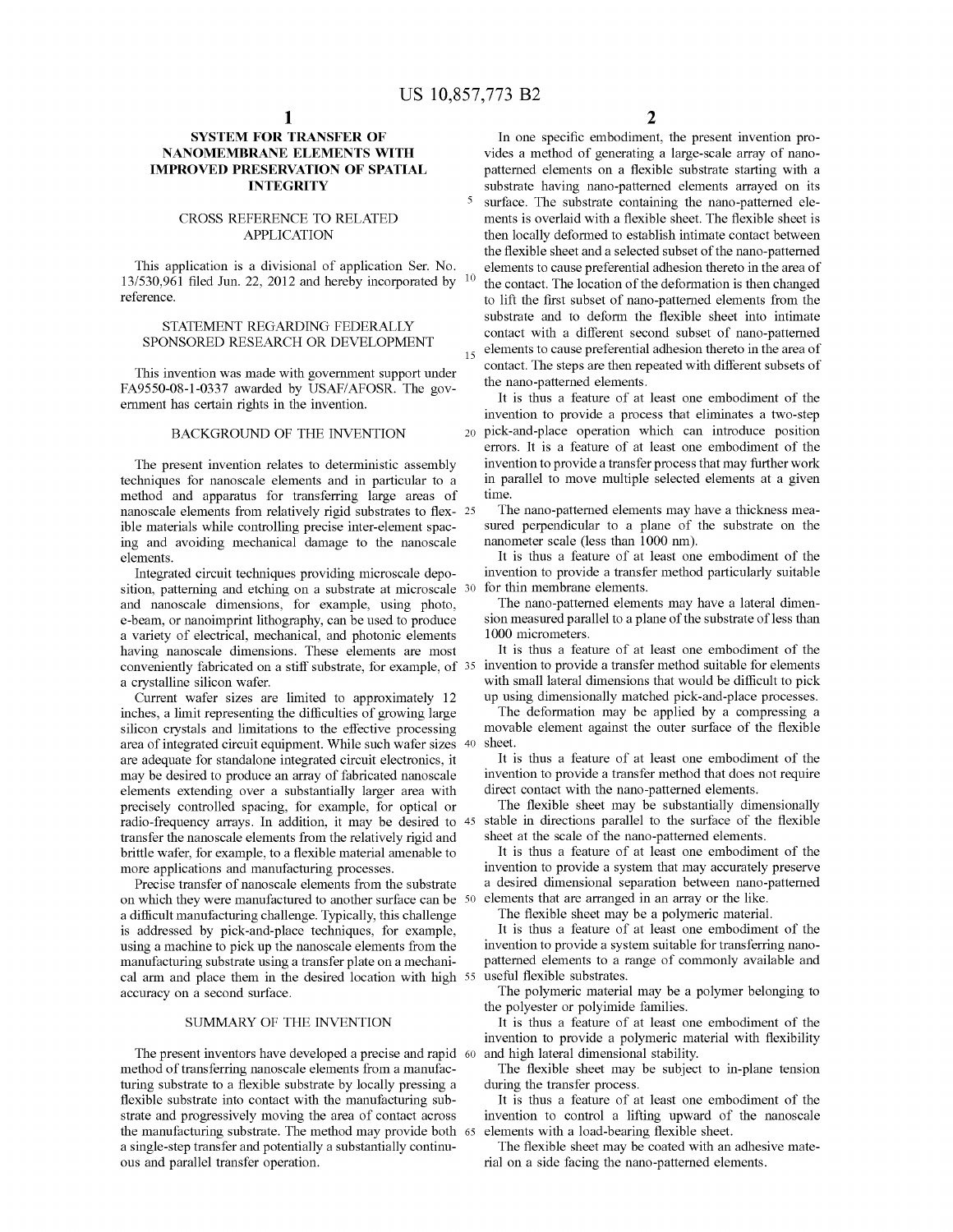### **SYSTEM FOR TRANSFER OF NANOMEMBRANE ELEMENTS WITH IMPROVED PRESERVATION OF SPATIAL INTEGRITY**

#### CROSS REFERENCE TO RELATED APPLICATION

This application is a divisional of application Ser. No. 13/530,961 filed Jun. 22, 2012 and hereby incorporated by  $10$ reference.

#### STATEMENT REGARDING FEDERALLY SPONSORED RESEARCH OR DEVELOPMENT

This invention was made with govermnent support under FA9550-08-l-0337 awarded by USAF/AFOSR. The govermnent has certain rights in the invention.

The present invention relates to deterministic assembly techniques for nanoscale elements and in particular to a method and apparatus for transferring large areas of nanoscale elements from relatively rigid substrates to flex- 25 ible materials while controlling precise inter-element spacing and avoiding mechanical damage to the nanoscale elements.

Integrated circuit techniques providing microscale deposition, patterning and etching on a substrate at microscale <sup>30</sup> and nanoscale dimensions, for example, using photo, e-beam, or nanoimprint lithography, can be used to produce a variety of electrical, mechanical, and photonic elements having nanoscale dimensions. These elements are most conveniently fabricated on a stiff substrate, for example, of 35 a crystalline silicon wafer.

Current wafer sizes are limited to approximately 12 inches, a limit representing the difficulties of growing large silicon crystals and limitations to the effective processing area of integrated circuit equipment. While such wafer sizes 40 are adequate for standalone integrated circuit electronics, it may be desired to produce an array of fabricated nanoscale elements extending over a substantially larger area with precisely controlled spacing, for example, for optical or radio-frequency arrays. In addition, it may be desired to 45 transfer the nanoscale elements from the relatively rigid and brittle wafer, for example, to a flexible material amenable to more applications and manufacturing processes.

Precise transfer of nanoscale elements from the substrate on which they were manufactured to another surface can be 50 a difficult manufacturing challenge. Typically, this challenge is addressed by pick-and-place techniques, for example, using a machine to pick up the nanoscale elements from the manufacturing substrate using a transfer plate on a mechanical arm and place them in the desired location with high 55 useful flexible substrates. accuracy on a second surface.

#### SUMMARY OF THE INVENTION

The present inventors have developed a precise and rapid 60 and high lateral dimensional stability. method of transferring nanoscale elements from a manufacturing substrate to a flexible substrate by locally pressing a flexible substrate into contact with the manufacturing substrate and progressively moving the area of contact across the manufacturing substrate. The method may provide both 65 a single-step transfer and potentially a substantially continuous and parallel transfer operation.

**2** 

In one specific embodiment, the present invention provides a method of generating a large-scale array of nanopatterned elements on a flexible substrate starting with a substrate having nano-patterned elements arrayed on its 5 surface. The substrate containing the nano-patterned elements is overlaid with a flexible sheet. The flexible sheet is then locally deformed to establish intimate contact between the flexible sheet and a selected subset of the nano-patterned elements to cause preferential adhesion thereto in the area of the contact. The location of the deformation is then changed to lift the first subset of nano-patterned elements from the substrate and to deform the flexible sheet into intimate contact with a different second subset of nano-patterned elements to cause preferential adhesion thereto in the area of contact. The steps are then repeated with different subsets of the nano-patterned elements.

It is thus a feature of at least one embodiment of the invention to provide a process that eliminates a two-step BACKGROUND OF THE INVENTION 20 pick-and-place operation which can introduce position errors. It is a feature of at least one embodiment of the invention to provide a transfer process that may further work in parallel to move multiple selected elements at a given time.

> The nano-patterned elements may have a thickness measured perpendicular to a plane of the substrate on the nanometer scale (less than 1000 nm).

> It is thus a feature of at least one embodiment of the invention to provide a transfer method particularly suitable for thin membrane elements.

> The nano-patterned elements may have a lateral dimension measured parallel to a plane of the substrate of less than 1000 micrometers.

> It is thus a feature of at least one embodiment of the invention to provide a transfer method suitable for elements with small lateral dimensions that would be difficult to pick up using dimensionally matched pick-and-place processes.

> The deformation may be applied by a compressing a movable element against the outer surface of the flexible sheet.

> It is thus a feature of at least one embodiment of the invention to provide a transfer method that does not require direct contact with the nano-patterned elements.

> The flexible sheet may be substantially dimensionally stable in directions parallel to the surface of the flexible sheet at the scale of the nano-patterned elements.

> It is thus a feature of at least one embodiment of the invention to provide a system that may accurately preserve a desired dimensional separation between nano-patterned elements that are arranged in an array or the like.

The flexible sheet may be a polymeric material.

It is thus a feature of at least one embodiment of the invention to provide a system suitable for transferring nanopatterned elements to a range of commonly available and

The polymeric material may be a polymer belonging to the polyester or polyimide families.

It is thus a feature of at least one embodiment of the invention to provide a polymeric material with flexibility

The flexible sheet may be subject to in-plane tension during the transfer process.

It is thus a feature of at least one embodiment of the invention to control a lifting upward of the nanoscale elements with a load-bearing flexible sheet.

The flexible sheet may be coated with an adhesive material on a side facing the nano-patterned elements.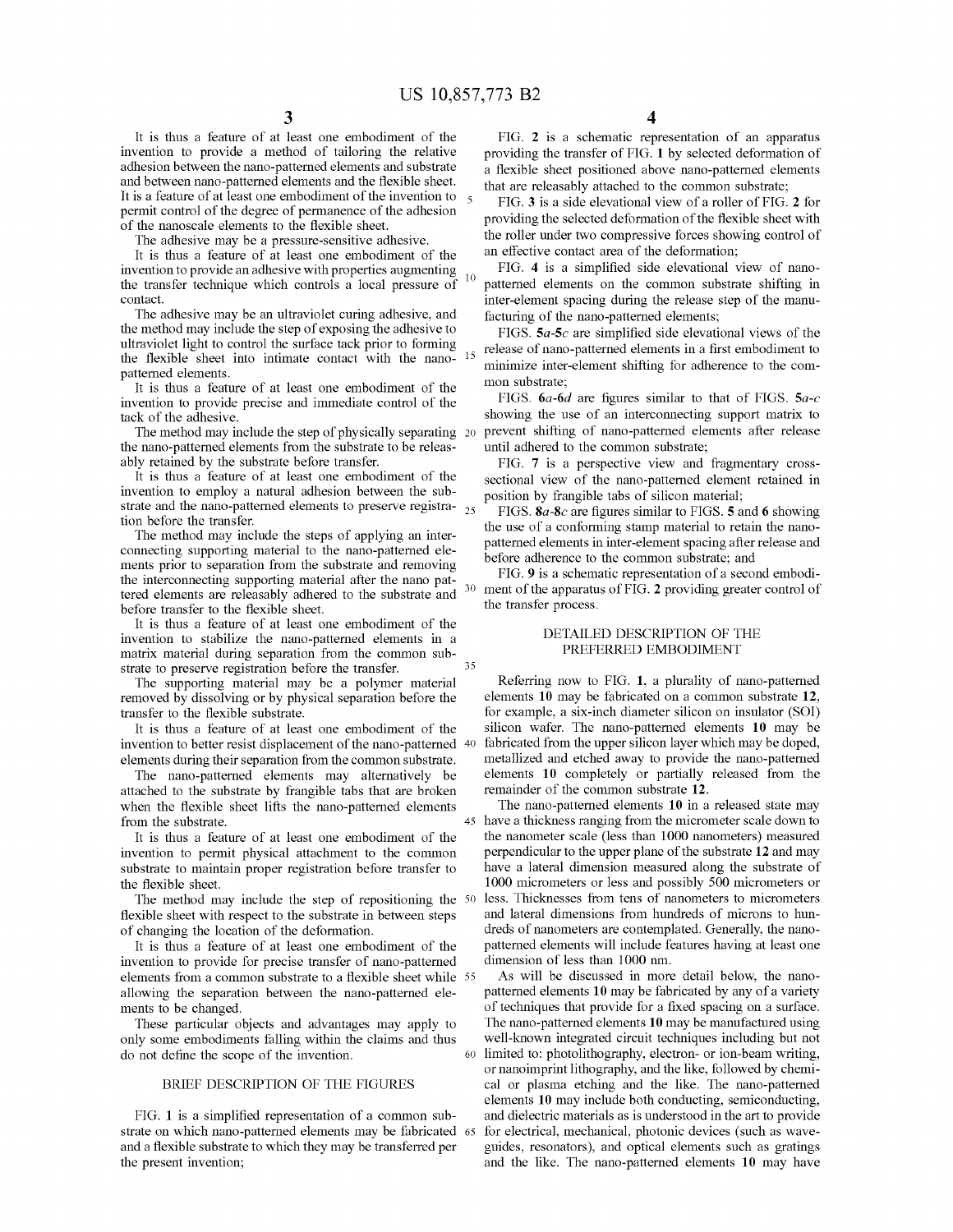35

It is thus a feature of at least one embodiment of the invention to provide a method of tailoring the relative adhesion between the nano-patterned elements and substrate and between nano-patterned elements and the flexible sheet. It is a feature of at least one embodiment of the invention to permit control of the degree of permanence of the adhesion of the nanoscale elements to the flexible sheet.

The adhesive may be a pressure-sensitive adhesive.

It is thus a feature of at least one embodiment of the invention to provide an adhesive with properties augmenting the transfer technique which controls a local pressure of  $10$ contact.

The adhesive may be an ultraviolet curing adhesive, and the method may include the step of exposing the adhesive to ultraviolet light to control the surface tack prior to forming the flexible sheet into intimate contact with the nanopatterned elements.

It is thus a feature of at least one embodiment of the invention to provide precise and immediate control of the tack of the adhesive.

The method may include the step of physically separating 20 the nano-patterned elements from the substrate to be releasably retained by the substrate before transfer.

It is thus a feature of at least one embodiment of the invention to employ a natural adhesion between the substrate and the nano-patterned elements to preserve registra- <sup>25</sup> tion before the transfer.

The method may include the steps of applying an interconnecting supporting material to the nano-patterned elements prior to separation from the substrate and removing the interconnecting supporting material after the nano pattered elements are releasably adhered to the substrate and before transfer to the flexible sheet.

It is thus a feature of at least one embodiment of the invention to stabilize the nano-patterned elements in a matrix material during separation from the common substrate to preserve registration before the transfer.

The supporting material may be a polymer material removed by dissolving or by physical separation before the transfer to the flexible substrate.

It is thus a feature of at least one embodiment of the invention to better resist displacement of the nano-patterned 40 elements during their separation from the common substrate.

The nano-patterned elements may alternatively be attached to the substrate by frangible tabs that are broken when the flexible sheet lifts the nano-patterned elements from the substrate.

It is thus a feature of at least one embodiment of the invention to permit physical attachment to the common substrate to maintain proper registration before transfer to the flexible sheet.

The method may include the step of repositioning the 50 flexible sheet with respect to the substrate in between steps of changing the location of the deformation.

It is thus a feature of at least one embodiment of the invention to provide for precise transfer of nano-patterned elements from a common substrate to a flexible sheet while 55 allowing the separation between the nano-patterned elements to be changed.

These particular objects and advantages may apply to only some embodiments falling within the claims and thus do not define the scope of the invention.

#### BRIEF DESCRIPTION OF THE FIGURES

FIG. **1** is a simplified representation of a common substrate on which nano-patterned elements may be fabricated and a flexible substrate to which they may be transferred per the present invention;

**4** 

FIG. **2** is a schematic representation of an apparatus providing the transfer of FIG. **1** by selected deformation of a flexible sheet positioned above nano-patterned elements that are releasably attached to the common substrate;

FIG. **3** is a side elevational view of a roller of FIG. **2** for providing the selected deformation of the flexible sheet with the roller under two compressive forces showing control of an effective contact area of the deformation;

FIG. **4** is a simplified side elevational view of nanopatterned elements on the common substrate shifting in inter-element spacing during the release step of the manufacturing of the nano-patterned elements;

FIGS. *Sa-Sc* are simplified side elevational views of the release of nano-patterned elements in a first embodiment to minimize inter-element shifting for adherence to the common substrate;

FIGS. *6a-6d* are figures similar to that of FIGS. *Sa-c*  showing the use of an interconnecting support matrix to prevent shifting of nano-patterned elements after release until adhered to the common substrate;

FIG. **7** is a perspective view and fragmentary crosssectional view of the nano-patterned element retained in position by frangible tabs of silicon material;

FIGS.  $8a-8c$  are figures similar to FIGS. 5 and 6 showing the use of a conforming stamp material to retain the nanopatterned elements in inter-element spacing after release and before adherence to the common substrate; and

FIG. **9** is a schematic representation of a second embodiment of the apparatus of FIG. 2 providing greater control of the transfer process.

#### DETAILED DESCRIPTION OF THE PREFERRED EMBODIMENT

Referring now to FIG. **1,** a plurality of nano-patterned elements **10** may be fabricated on a common substrate **12,**  for example, a six-inch diameter silicon on insulator (SOI) silicon wafer. The nano-patterned elements **10** may be fabricated from the upper silicon layer which may be doped, metallized and etched away to provide the nano-patterned elements **10** completely or partially released from the remainder of the common substrate **12.** 

The nano-patterned elements **10** in a released state may 45 have a thickness ranging from the micrometer scale down to the nanometer scale (less than 1000 nanometers) measured perpendicular to the upper plane of the substrate **12** and may have a lateral dimension measured along the substrate of 1000 micrometers or less and possibly 500 micrometers or less. Thicknesses from tens of nanometers to micrometers and lateral dimensions from hundreds of microns to hundreds of nanometers are contemplated. Generally, the nanopatterned elements will include features having at least one dimension of less than 1000 nm.

As will be discussed in more detail below, the nanopatterned elements **10** may be fabricated by any of a variety of techniques that provide for a fixed spacing on a surface. The nano-patterned elements **10** may be manufactured using well-known integrated circuit techniques including but not 60 limited to: photolithography, electron- or ion-beam writing, or nanoimprint lithography, and the like, followed by chemical or plasma etching and the like. The nano-patterned elements **10** may include both conducting, semiconducting, and dielectric materials as is understood in the art to provide for electrical, mechanical, photonic devices (such as waveguides, resonators), and optical elements such as gratings and the like. The nano-patterned elements **10** may have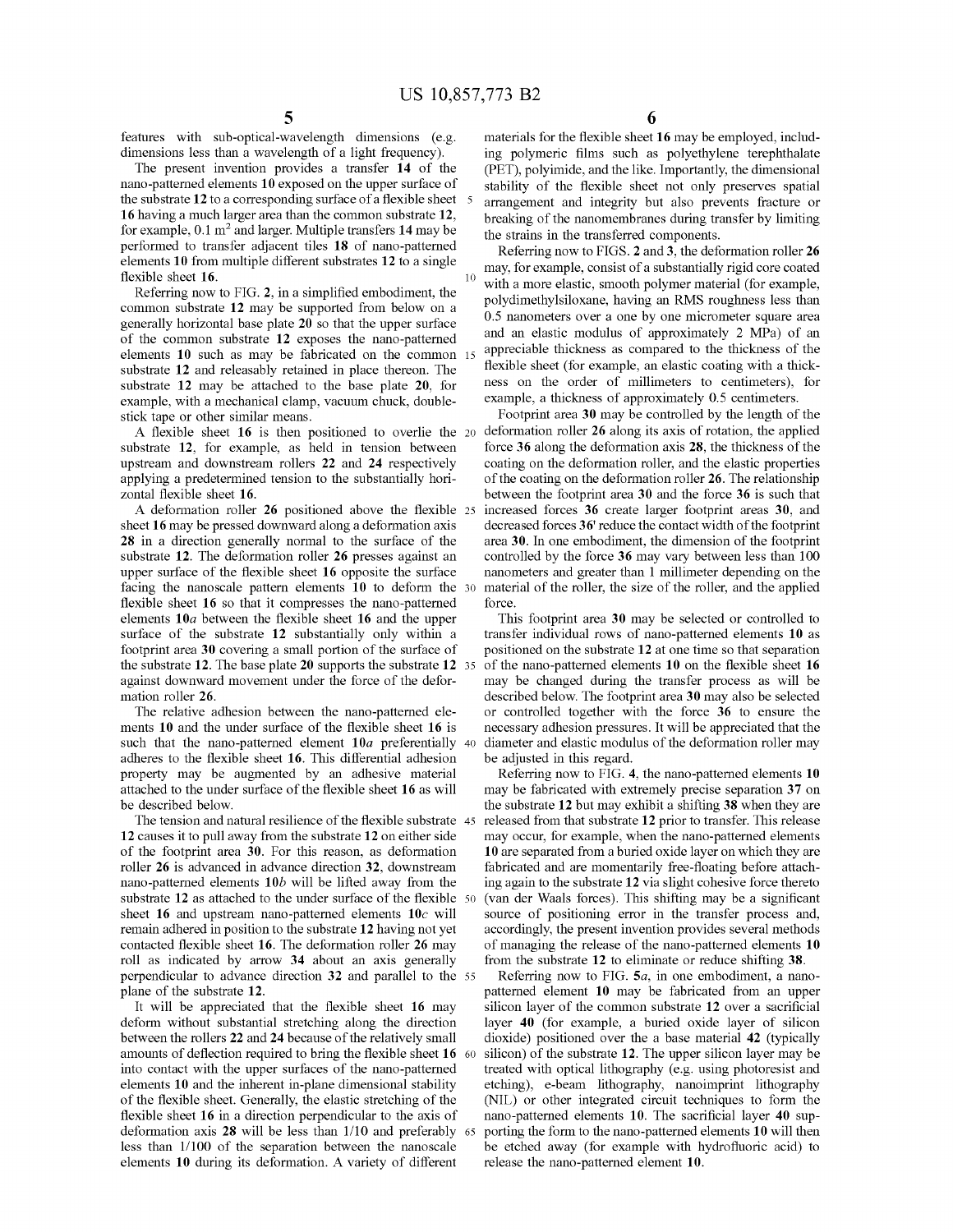features with sub-optical-wavelength dimensions (e.g. dimensions less than a wavelength of a light frequency).

The present invention provides a transfer **14** of the nano-patterned elements **10** exposed on the upper surface of the substrate **12** to a corresponding surface of a flexible sheet **16** having a much larger area than the common substrate **12,**  for example, 0.1 m<sup>2</sup> and larger. Multiple transfers 14 may be performed to transfer adjacent tiles **18** of nano-patterned elements **10** from multiple different substrates **12** to a single flexible sheet **16.** 

Referring now to FIG. **2,** in a simplified embodiment, the common substrate **12** may be supported from below on a generally horizontal base plate **20** so that the upper surface of the common substrate **12** exposes the nano-patterned elements **10** such as may be fabricated on the common substrate **12** and releasably retained in place thereon. The substrate **12** may be attached to the base plate **20,** for example, with a mechanical clamp, vacuum chuck, doublestick tape or other similar means.

A flexible sheet **16** is then positioned to overlie the substrate **12,** for example, as held in tension between upstream and downstream rollers **22** and **24** respectively applying a predetermined tension to the substantially horizontal flexible sheet **16.** 

A deformation roller **26** positioned above the flexible sheet **16** may be pressed downward along a deformation axis **28** in a direction generally normal to the surface of the substrate **12.** The deformation roller **26** presses against an upper surface of the flexible sheet **16** opposite the surface facing the nanoscale pattern elements **10** to deform the flexible sheet **16** so that it compresses the nano-patterned elements **10a** between the flexible sheet **16** and the upper surface of the substrate **12** substantially only within a footprint area **30** covering a small portion of the surface of the substrate **12.** The base plate **20** supports the substrate **12**  against downward movement under the force of the deformation roller **26.** 

The relative adhesion between the nano-patterned elements **10** and the under surface of the flexible sheet **16** is such that the nano-patterned element  $10a$  preferentially 40 adheres to the flexible sheet **16.** This differential adhesion property may be augmented by an adhesive material attached to the under surface of the flexible sheet **16** as will be described below.

The tension and natural resilience of the flexible substrate 45 **12** causes it to pull away from the substrate **12** on either side may occur, for example, when the nano-patterned elements of the footprint area **30.** For this reason, as deformation roller **26** is advanced in advance direction **32,** downstream nano-patterned elements **10b** will be lifted away from the substrate 12 as attached to the under surface of the flexible 50 sheet **16** and upstream nano-patterned elements **10c** will remain adhered in position to the substrate **12** having not yet contacted flexible sheet **16.** The deformation roller **26** may roll as indicated by arrow **34** about an axis generally perpendicular to advance direction **32** and parallel to the 55 plane of the substrate **12.** 

It will be appreciated that the flexible sheet **16** may deform without substantial stretching along the direction between the rollers **22 and 24** because of the relatively small amounts of deflection required to bring the flexible sheet **16**  into contact with the upper surfaces of the nano-patterned elements **10** and the inherent in-plane dimensional stability of the flexible sheet. Generally, the elastic stretching of the flexible sheet **16** in a direction perpendicular to the axis of deformation axis **28** will be less than 1/10 and preferably less than 1/100 of the separation between the nanoscale elements **10** during its deformation. A variety of different

**6** 

materials for the flexible sheet **16** may be employed, including polymeric films such as polyethylene terephthalate (PET), polyimide, and the like. Importantly, the dimensional stability of the flexible sheet not only preserves spatial 5 arrangement and integrity but also prevents fracture or breaking of the nanomembranes during transfer by limiting the strains in the transferred components.

Referring now to FIGS. **2** and **3,** the deformation roller **26**  may, for example, consist of a substantially rigid core coated with a more elastic, smooth polymer material (for example, polydimethylsiloxane, having an RMS roughness less than 0.5 nanometers over a one by one micrometer square area and an elastic modulus of approximately 2 MPa) of an appreciable thickness as compared to the thickness of the flexible sheet (for example, an elastic coating with a thickness on the order of millimeters to centimeters), for example, a thickness of approximately 0.5 centimeters.

Footprint area **30** may be controlled by the length of the 20 deformation roller **26** along its axis of rotation, the applied force **36** along the deformation axis **28,** the thickness of the coating on the deformation roller, and the elastic properties of the coating on the deformation roller **26.** The relationship between the footprint area **30** and the force **36** is such that 25 increased forces **36** create larger footprint areas **30,** and decreased forces **36'** reduce the contact width of the footprint area **30.** In one embodiment, the dimension of the footprint controlled by the force **36** may vary between less than 100 nanometers and greater than 1 millimeter depending on the material of the roller, the size of the roller, and the applied force.

This footprint area **30** may be selected or controlled to transfer individual rows of nano-patterned elements **10** as positioned on the substrate **12** at one time so that separation 35 of the nano-patterned elements **10** on the flexible sheet **16**  may be changed during the transfer process as will be described below. The footprint area **30** may also be selected or controlled together with the force **36** to ensure the necessary adhesion pressures. It will be appreciated that the diameter and elastic modulus of the deformation roller may be adjusted in this regard.

Referring now to FIG. **4,** the nano-patterned elements **10**  may be fabricated with extremely precise separation **37** on the substrate **12** but may exhibit a shifting **38** when they are released from that substrate **12** prior to transfer. This release **10** are separated from a buried oxide layer on which they are fabricated and are momentarily free-floating before attaching again to the substrate **12** via slight cohesive force thereto (van der Waals forces). This shifting may be a significant source of positioning error in the transfer process and, accordingly, the present invention provides several methods of managing the release of the nano-patterned elements **10**  from the substrate **12** to eliminate or reduce shifting **38.** 

Referring now to FIG. **Sa,** in one embodiment, a nanopatterned element **10** may be fabricated from an upper silicon layer of the common substrate **12** over a sacrificial layer **40** (for example, a buried oxide layer of silicon dioxide) positioned over the a base material **42** (typically silicon) of the substrate 12. The upper silicon layer may be treated with optical lithography (e.g. using photoresist and etching), e-beam lithography, nanoimprint lithography (NIL) or other integrated circuit techniques to form the nano-patterned elements **10.** The sacrificial layer **40** sup-65 porting the form to the nano-patterned elements **10** will then be etched away (for example with hydrofluoric acid) to release the nano-patterned element **10.**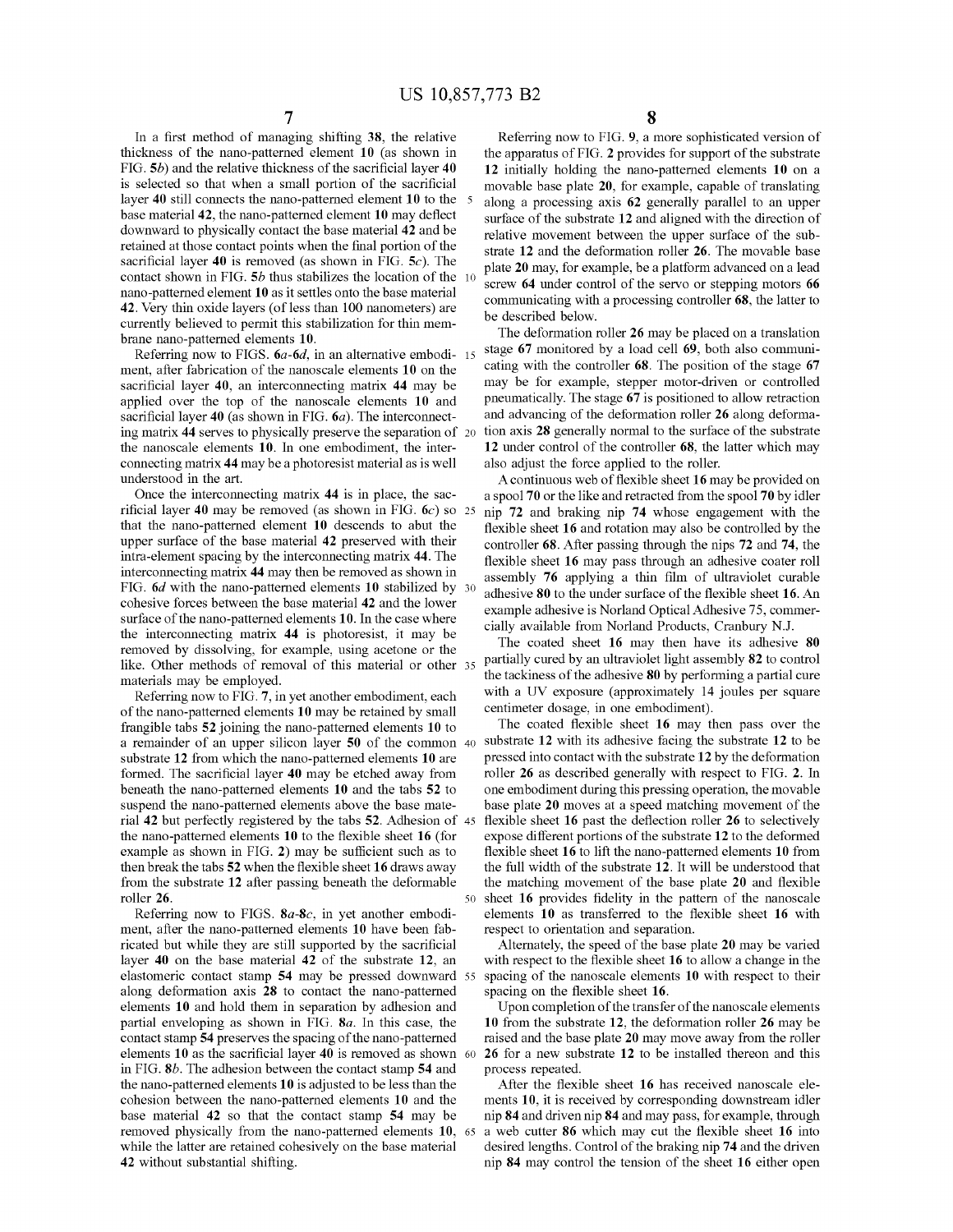In a first method of managing shifting **38,** the relative thickness of the nano-patterned element **10** (as shown in FIG. **Sb)** and the relative thickness of the sacrificial layer **40**  is selected so that when a small portion of the sacrificial layer **40** still connects the nano-patterned element **10** to the 5 base material **42,** the nano-patterned element **10** may deflect downward to physically contact the base material **42** and be retained at those contact points when the final portion of the sacrificial layer **40** is removed (as shown in FIG. **Sc).** The contact shown in FIG. **Sb** thus stabilizes the location of the 10 nano-patterned element **10** as it settles onto the base material **42.** Very thin oxide layers (ofless than 100 nanometers) are currently believed to permit this stabilization for thin membrane nano-patterned elements **10.** 

Referring now to FIGS. *6a-6d,* in an alternative embodi- 15 ment, after fabrication of the nano scale elements **10** on the sacrificial layer **40,** an interconnecting matrix **44** may be applied over the top of the nanoscale elements **10** and sacrificial layer **40** (as shown in FIG. *6a).* The interconnecting matrix **44** serves to physically preserve the separation of 20 the nanoscale elements **10.** In one embodiment, the interconnecting matrix **44** may be a photoresist material as is well understood in the art.

rificial layer **40** may be removed (as shown in FIG. 6c) so that the nano-patterned element **10** descends to abut the upper surface of the base material **42** preserved with their intra-element spacing by the interconnecting matrix **44.** The interconnecting matrix **44** may then be removed as shown in FIG. *6d* with the nano-patterned elements **10** stabilized by cohesive forces between the base material **42** and the lower surface of the nano-patterned elements **10.** In the case where the interconnecting matrix **44** is photoresist, it may be removed by dissolving, for example, using acetone or the like. Other methods of removal of this material or other 35 materials may be employed.

Referring now to FIG. **7,** in yet another embodiment, each of the nano-patterned elements **10** may be retained by small frangible tabs **52** joining the nano-patterned elements **10** to a remainder of an upper silicon layer **50** of the common 40 substrate **12** from which the nano-patterned elements **10** are formed. The sacrificial layer **40** may be etched away from beneath the nano-patterned elements **10** and the tabs **52** to suspend the nano-patterned elements above the base material **42** but perfectly registered by the tabs **52.** Adhesion of 45 the nano-patterned elements **10** to the flexible sheet **16** (for example as shown in FIG. **2)** may be sufficient such as to then break the tabs **52** when the flexible sheet **16** draws away from the substrate **12** after passing beneath the deformable roller **26.** 

Referring now to FIGS. **Sa-Sc,** in yet another embodiment, after the nano-patterned elements **10** have been fabricated but while they are still supported by the sacrificial layer **40** on the base material **42** of the substrate **12,** an elastomeric contact stamp **54** may be pressed downward 55 along deformation axis **28** to contact the nano-patterned elements **10** and hold them in separation by adhesion and partial enveloping as shown in FIG. **Sa.** In this case, the contact stamp **54** preserves the spacing of the nano-patterned elements **10** as the sacrificial layer **40** is removed as shown 60 in FIG. **Sb.** The adhesion between the contact stamp **54** and the nano-patterned elements **10** is adjusted to be less than the cohesion between the nano-patterned elements **10** and the base material **42** so that the contact stamp **54** may be removed physically from the nano-patterned elements **10,** 65 while the latter are retained cohesively on the base material **42** without substantial shifting.

Referring now to FIG. **9,** a more sophisticated version of the apparatus of FIG. **2** provides for support of the substrate **12** initially holding the nano-patterned elements **10** on a movable base plate **20,** for example, capable of translating along a processing axis **62** generally parallel to an upper surface of the substrate **12** and aligned with the direction of relative movement between the upper surface of the substrate **12** and the deformation roller **26.** The movable base plate **20** may, for example, be a platform advanced on a lead screw **64** under control of the servo or stepping motors **66**  communicating with a processing controller **68,** the latter to be described below.

The deformation roller **26** may be placed on a translation stage **67** monitored by a load cell **69,** both also communicating with the controller **68.** The position of the stage **67**  may be for example, stepper motor-driven or controlled pneumatically. The stage **67** is positioned to allow retraction and advancing of the deformation roller **26** along deformation axis **28** generally normal to the surface of the substrate **12** under control of the controller **68,** the latter which may also adjust the force applied to the roller.

A continuous web of flexible sheet **16** may be provided on Once the interconnecting matrix **44** is in place, the sac- a spool **70** or the like and retracted from the spool **70** by idler 25 nip **72** and braking nip **74** whose engagement with the flexible sheet **16** and rotation may also be controlled by the controller **68.** After passing through the nips **72** and **74,** the flexible sheet **16** may pass through an adhesive coater roll assembly **<sup>76</sup>**applying a thin film of ultraviolet curable 30 adhesive **80** to the under surface of the flexible sheet **16.** An example adhesive is Norland Optical Adhesive 75, commercially available from Norland Products, Cranbury N.J.

> The coated sheet **16** may then have its adhesive **80**  <sup>35</sup>partially cured by an ultraviolet light assembly **82** to control the tackiness of the adhesive **80** by performing a partial cure with a UV exposure (approximately 14 joules per square centimeter dosage, in one embodiment).

The coated flexible sheet **16** may then pass over the substrate **12** with its adhesive facing the substrate **12** to be pressed into contact with the substrate **12** by the deformation roller **26** as described generally with respect to FIG. **2.** In one embodiment during this pressing operation, the movable base plate **20** moves at a speed matching movement of the flexible sheet **16** past the deflection roller **26** to selectively expose different portions of the substrate **12** to the deformed flexible sheet **16** to lift the nano-patterned elements **10** from the full width of the substrate **12.** It will be understood that the matching movement of the base plate **20** and flexible 50 sheet **16** provides fidelity in the pattern of the nanoscale elements **10** as transferred to the flexible sheet **16** with respect to orientation and separation.

Alternately, the speed of the base plate **20** may be varied with respect to the flexible sheet **16** to allow a change in the spacing of the nanoscale elements **10** with respect to their spacing on the flexible sheet **16.** 

Upon completion of the transfer of the nanoscale elements **10** from the substrate **12,** the deformation roller **26** may be raised and the base plate **20** may move away from the roller **26** for a new substrate **12** to be installed thereon and this process repeated.

After the flexible sheet **16** has received nanoscale elements **10,** it is received by corresponding downstream idler nip **84** and driven nip **84** and may pass, for example, through a web cutter **86** which may cut the flexible sheet **16** into desired lengths. Control of the braking nip **74** and the driven nip **84** may control the tension of the sheet **16** either open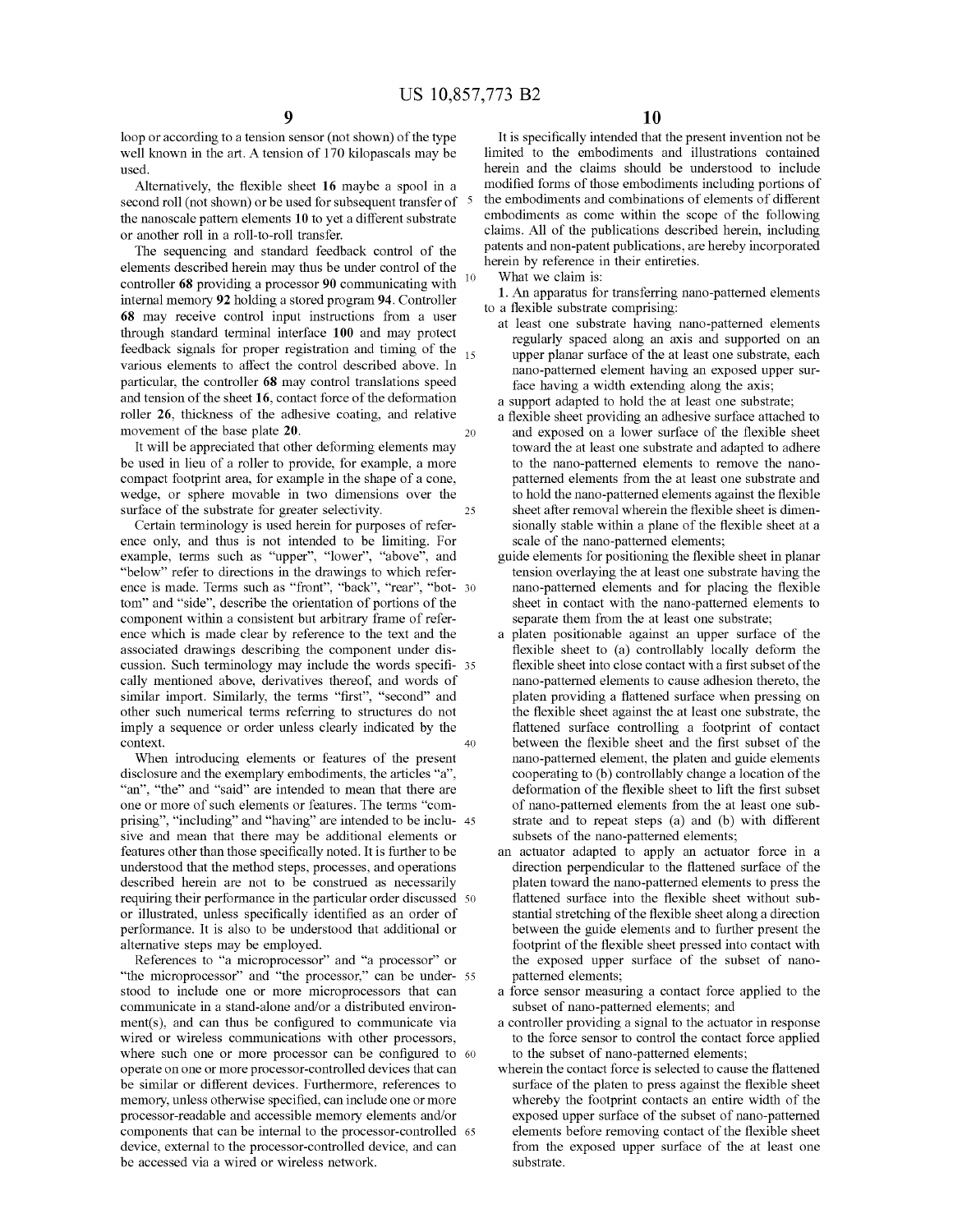loop or according to a tension sensor (not shown) of the type well known in the art. A tension of 170 kilopascals may be used.

Alternatively, the flexible sheet **16** maybe a spool in a second roll (not shown) or be used for subsequent transfer of 5 the nanoscale pattern elements **10** to yet a different substrate or another roll in a roll-to-roll transfer.

The sequencing and standard feedback control of the elements described herein may thus be under control of the controller **68** providing a processor **90** communicating with <sup>10</sup> internal memory **92** holding a stored program **94.** Controller **68** may receive control input instructions from a user through standard terminal interface **100** and may protect feedback signals for proper registration and timing of the  $_{15}$ various elements to affect the control described above. In particular, the controller **68** may control translations speed and tension of the sheet **16,** contact force of the deformation roller **26,** thickness of the adhesive coating, and relative movement of the base plate **20**. **20 20** 

It will be appreciated that other deforming elements may be used in lieu of a roller to provide, for example, a more compact footprint area, for example in the shape of a cone, wedge, or sphere movable in two dimensions over the surface of the substrate for greater selectivity. 25

Certain terminology is used herein for purposes of reference only, and thus is not intended to be limiting. For example, terms such as "upper", "lower", "above", and "below" refer to directions in the drawings to which reference is made. Terms such as "front", "back", "rear", "bot- 30 tom" and "side", describe the orientation of portions of the component within a consistent but arbitrary frame of reference which is made clear by reference to the text and the associated drawings describing the component under discussion. Such terminology may include the words specifi- 35 cally mentioned above, derivatives thereof, and words of similar import. Similarly, the terms "first", "second" and other such numerical terms referring to structures do not imply a sequence or order unless clearly indicated by the context. 40

When introducing elements or features of the present disclosure and the exemplary embodiments, the articles "a", "an", "the" and "said" are intended to mean that there are one or more of such elements or features. The terms "comprising", "including" and "having" are intended to be inclu- 45 sive and mean that there may be additional elements or features other than those specifically noted. It is further to be understood that the method steps, processes, and operations described herein are not to be construed as necessarily requiring their performance in the particular order discussed 50 or illustrated, unless specifically identified as an order of performance. It is also to be understood that additional or alternative steps may be employed.

References to "a microprocessor" and "a processor" or "the microprocessor" and "the processor," can be under- 55 stood to include one or more microprocessors that can communicate in a stand-alone and/or a distributed environ $ment(s)$ , and can thus be configured to communicate via wired or wireless communications with other processors, where such one or more processor can be configured to 60 operate on one or more processor-controlled devices that can be similar or different devices. Furthermore, references to memory, unless otherwise specified, can include one or more processor-readable and accessible memory elements and/or components that can be internal to the processor-controlled 65 device, external to the processor-controlled device, and can be accessed via a wired or wireless network.

It is specifically intended that the present invention not be limited to the embodiments and illustrations contained herein and the claims should be understood to include modified forms of those embodiments including portions of the embodiments and combinations of elements of different embodiments as come within the scope of the following claims. All of the publications described herein, including patents and non-patent publications, are hereby incorporated herein by reference in their entireties.

What we claim is:

**1.** An apparatus for transferring nano-patterned elements to a flexible substrate comprising:

- at least one substrate having nano-patterned elements regularly spaced along an axis and supported on an upper planar surface of the at least one substrate, each nano-patterned element having an exposed upper surface having a width extending along the axis;
- a support adapted to hold the at least one substrate;
- a flexible sheet providing an adhesive surface attached to and exposed on a lower surface of the flexible sheet toward the at least one substrate and adapted to adhere to the nano-patterned elements to remove the nanopatterned elements from the at least one substrate and to hold the nano-patterned elements against the flexible sheet after removal wherein the flexible sheet is dimensionally stable within a plane of the flexible sheet at a scale of the nano-patterned elements;
- guide elements for positioning the flexible sheet in planar tension overlaying the at least one substrate having the nano-patterned elements and for placing the flexible sheet in contact with the nano-patterned elements to separate them from the at least one substrate;
- a platen positionable against an upper surface of the flexible sheet to (a) controllably locally deform the flexible sheet into close contact with a first subset of the nano-patterned elements to cause adhesion thereto, the platen providing a flattened surface when pressing on the flexible sheet against the at least one substrate, the flattened surface controlling a footprint of contact between the flexible sheet and the first subset of the nano-patterned element, the platen and guide elements cooperating to (b) controllably change a location of the deformation of the flexible sheet to lift the first subset of nano-patterned elements from the at least one substrate and to repeat steps (a) and (b) with different subsets of the nano-patterned elements;
- an actuator adapted to apply an actuator force in a direction perpendicular to the flattened surface of the platen toward the nano-patterned elements to press the flattened surface into the flexible sheet without substantial stretching of the flexible sheet along a direction between the guide elements and to further present the footprint of the flexible sheet pressed into contact with the exposed upper surface of the subset of nanopatterned elements;
- a force sensor measuring a contact force applied to the subset of nano-patterned elements; and
- a controller providing a signal to the actuator in response to the force sensor to control the contact force applied to the subset of nano-patterned elements;
- wherein the contact force is selected to cause the flattened surface of the platen to press against the flexible sheet whereby the footprint contacts an entire width of the exposed upper surface of the subset of nano-patterned elements before removing contact of the flexible sheet from the exposed upper surface of the at least one substrate.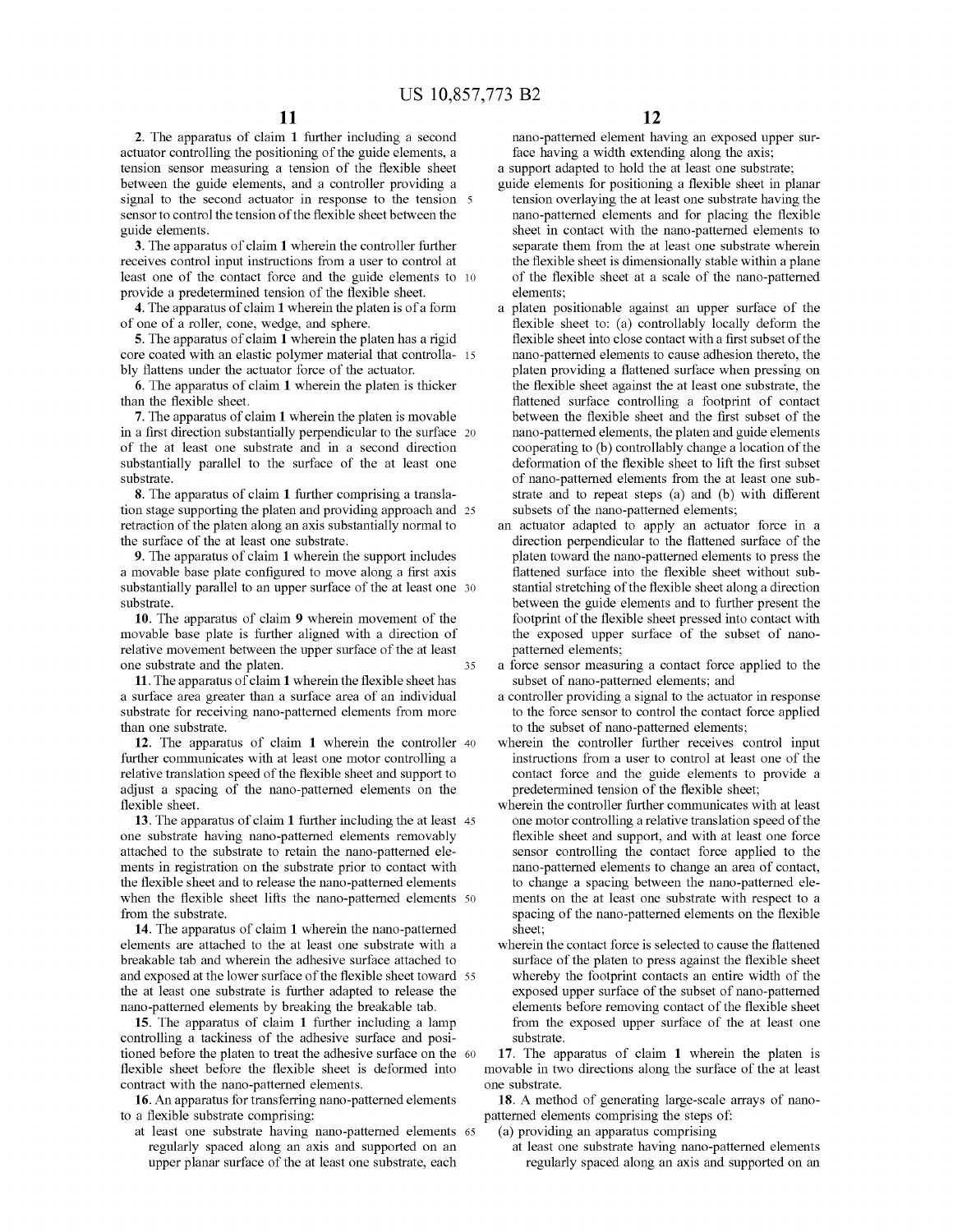**2.** The apparatus of claim **1** further including a second actuator controlling the positioning of the guide elements, a tension sensor measuring a tension of the flexible sheet between the guide elements, and a controller providing a signal to the second actuator in response to the tension 5 sensor to control the tension of the flexible sheet between the guide elements.

**3.** The apparatus of claim **1** wherein the controller further receives control input instructions from a user to control at least one of the contact force and the guide elements to 10 provide a predetermined tension of the flexible sheet.

**4.** The apparatus of claim **1** wherein the platen is of a form of one of a roller, cone, wedge, and sphere.

**5.** The apparatus of claim **1** wherein the platen has a rigid core coated with an elastic polymer material that controlla- 15 bly flattens under the actuator force of the actuator.

**6.** The apparatus of claim **1** wherein the platen is thicker than the flexible sheet.

**7.** The apparatus of claim **1** wherein the platen is movable in a first direction substantially perpendicular to the surface 20 of the at least one substrate and in a second direction substantially parallel to the surface of the at least one substrate.

**8.** The apparatus of claim **1** further comprising a translation stage supporting the platen and providing approach and 25 retraction of the platen along an axis substantially normal to the surface of the at least one substrate.

**9.** The apparatus of claim **1** wherein the support includes a movable base plate configured to move along a first axis substantially parallel to an upper surface of the at least one 30 substrate.

**10.** The apparatus of claim **9** wherein movement of the movable base plate is further aligned with a direction of relative movement between the upper surface of the at least one substrate and the platen. 35

**11.** The apparatus of claim **1** wherein the flexible sheet has a surface area greater than a surface area of an individual substrate for receiving nano-patterned elements from more than one substrate.

**12.** The apparatus of claim **1** wherein the controller 40 further communicates with at least one motor controlling a relative translation speed of the flexible sheet and support to adjust a spacing of the nano-patterned elements on the flexible sheet.

**13.** The apparatus of claim **1** further including the at least 45 one substrate having nano-patterned elements removably attached to the substrate to retain the nano-patterned elements in registration on the substrate prior to contact with the flexible sheet and to release the nano-patterned elements when the flexible sheet lifts the nano-patterned elements 50 from the substrate.

**14.** The apparatus of claim **1** wherein the nano-patterned elements are attached to the at least one substrate with a breakable tab and wherein the adhesive surface attached to and exposed at the lower surface of the flexible sheet toward 55 the at least one substrate is further adapted to release the nano-patterned elements by breaking the breakable tab.

**15.** The apparatus of claim **1** further including a lamp controlling a tackiness of the adhesive surface and positioned before the platen to treat the adhesive surface on the 60 flexible sheet before the flexible sheet is deformed into contract with the nano-patterned elements.

**16.** An apparatus for transferring nano-patterned elements to a flexible substrate comprising:

at least one substrate having nano-patterned elements 65 regularly spaced along an axis and supported on an upper planar surface of the at least one substrate, each

nano-patterned element having an exposed upper surface having a width extending along the axis;

a support adapted to hold the at least one substrate; guide elements for positioning a flexible sheet in planar

- tension overlaying the at least one substrate having the nano-patterned elements and for placing the flexible sheet in contact with the nano-patterned elements to separate them from the at least one substrate wherein the flexible sheet is dimensionally stable within a plane of the flexible sheet at a scale of the nano-patterned elements;
- a platen positionable against an upper surface of the flexible sheet to: (a) controllably locally deform the flexible sheet into close contact with a first subset of the nano-patterned elements to cause adhesion thereto, the platen providing a flattened surface when pressing on the flexible sheet against the at least one substrate, the flattened surface controlling a footprint of contact between the flexible sheet and the first subset of the nano-patterned elements, the platen and guide elements cooperating to (b) controllably change a location of the deformation of the flexible sheet to lift the first subset of nano-patterned elements from the at least one substrate and to repeat steps (a) and (b) with different subsets of the nano-patterned elements;
- an actuator adapted to apply an actuator force in a direction perpendicular to the flattened surface of the platen toward the nano-patterned elements to press the flattened surface into the flexible sheet without substantial stretching of the flexible sheet along a direction between the guide elements and to further present the footprint of the flexible sheet pressed into contact with the exposed upper surface of the subset of nanopatterned elements;
- a force sensor measuring a contact force applied to the subset of nano-patterned elements; and
- a controller providing a signal to the actuator in response to the force sensor to control the contact force applied to the subset of nano-patterned elements;
- wherein the controller further receives control input instructions from a user to control at least one of the contact force and the guide elements to provide a predetermined tension of the flexible sheet;
- wherein the controller further communicates with at least one motor controlling a relative translation speed of the flexible sheet and support, and with at least one force sensor controlling the contact force applied to the nano-patterned elements to change an area of contact, to change a spacing between the nano-patterned elements on the at least one substrate with respect to a spacing of the nano-patterned elements on the flexible sheet;
- wherein the contact force is selected to cause the flattened surface of the platen to press against the flexible sheet whereby the footprint contacts an entire width of the exposed upper surface of the subset of nano-patterned elements before removing contact of the flexible sheet from the exposed upper surface of the at least one substrate.

**17.** The apparatus of claim **1** wherein the platen is movable in two directions along the surface of the at least one substrate.

**18.** A method of generating large-scale arrays of nanopatterned elements comprising the steps of:

(a) providing an apparatus comprising

at least one substrate having nano-patterned elements regularly spaced along an axis and supported on an